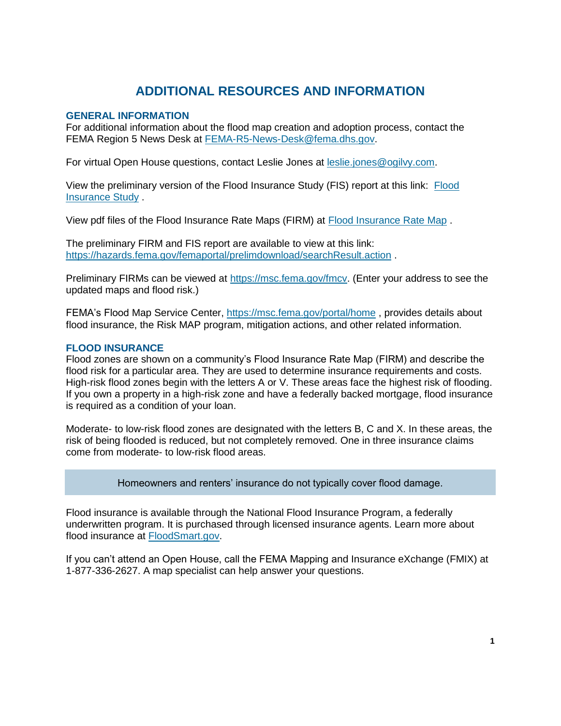# **ADDITIONAL RESOURCES AND INFORMATION**

## **GENERAL INFORMATION**

For additional information about the flood map creation and adoption process, contact the FEMA Region 5 News Desk at [FEMA-R5-News-Desk@fema.dhs.gov.](mailto:FEMA-R5-News-Desk@fema.dhs.gov)

For virtual Open House questions, contact Leslie Jones at [leslie.jones@ogilvy.com.](mailto:leslie.jones@ogilvy.com)

View the preliminary version of the Flood Insurance Study (FIS) report at this link: [Flood](https://hazards.fema.gov/femaportal/prelimdownload/prelim/ProductsDownLoadServlet?pfiProdId=147304)  [Insurance Study](https://hazards.fema.gov/femaportal/prelimdownload/prelim/ProductsDownLoadServlet?pfiProdId=147304) .

View pdf files of the Flood Insurance Rate Maps (FIRM) at [Flood Insurance Rate Map](https://msc.fema.gov/fmcv) .

The preliminary FIRM and FIS report are available to view at this link: <https://hazards.fema.gov/femaportal/prelimdownload/searchResult.action> .

Preliminary FIRMs can be viewed at [https://msc.fema.gov/fmcv.](https://msc.fema.gov/fmcv) (Enter your address to see the updated maps and flood risk.)

FEMA's Flood Map Service Center,<https://msc.fema.gov/portal/home> , provides details about flood insurance, the Risk MAP program, mitigation actions, and other related information.

## **FLOOD INSURANCE**

Flood zones are shown on a community's Flood Insurance Rate Map (FIRM) and describe the flood risk for a particular area. They are used to determine insurance requirements and costs. High-risk flood zones begin with the letters A or V. These areas face the highest risk of flooding. If you own a property in a high-risk zone and have a federally backed mortgage, flood insurance is required as a condition of your loan.

Moderate- to low-risk flood zones are designated with the letters B, C and X. In these areas, the risk of being flooded is reduced, but not completely removed. One in three insurance claims come from moderate- to low-risk flood areas.

Homeowners and renters' insurance do not typically cover flood damage.

Flood insurance is available through the National Flood Insurance Program, a federally underwritten program. It is purchased through licensed insurance agents. Learn more about flood insurance at [FloodSmart.gov.](https://www.floodsmart.gov/)

If you can't attend an Open House, call the FEMA Mapping and Insurance eXchange (FMIX) at 1-877-336-2627. A map specialist can help answer your questions.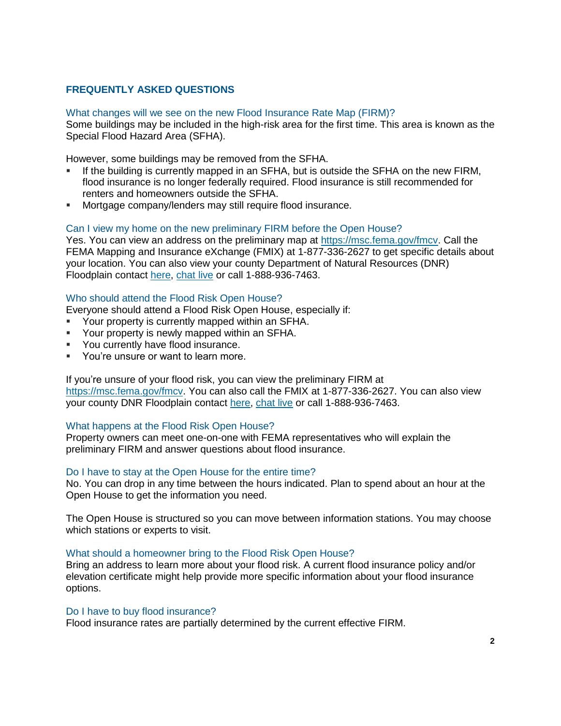# **FREQUENTLY ASKED QUESTIONS**

What changes will we see on the new Flood Insurance Rate Map (FIRM)? Some buildings may be included in the high-risk area for the first time. This area is known as the Special Flood Hazard Area (SFHA).

However, some buildings may be removed from the SFHA.

- If the building is currently mapped in an SFHA, but is outside the SFHA on the new FIRM, flood insurance is no longer federally required. Flood insurance is still recommended for renters and homeowners outside the SFHA.
- Mortgage company/lenders may still require flood insurance.

## Can I view my home on the new preliminary FIRM before the Open House?

Yes. You can view an address on the preliminary map at [https://msc.fema.gov/fmcv.](https://msc.fema.gov/fmcv) Call the FEMA Mapping and Insurance eXchange (FMIX) at 1-877-336-2627 to get specific details about your location. You can also view your county Department of Natural Resources (DNR) Floodplain contact [here,](https://dnr.wisconsin.gov/topic/FloodPlains/staff_flood.html) [chat live](https://dnr.wi.gov/Chat/) or call 1-888-936-7463.

#### Who should attend the Flood Risk Open House?

Everyone should attend a Flood Risk Open House, especially if:

- Your property is currently mapped within an SFHA.
- **EXECT** Your property is newly mapped within an SFHA.
- You currently have flood insurance.
- You're unsure or want to learn more.

#### If you're unsure of your flood risk, you can view the preliminary FIRM at

[https://msc.fema.gov/fmcv.](https://msc.fema.gov/fmcv) You can also call the FMIX at 1-877-336-2627. You can also view your county DNR Floodplain contact [here,](https://dnr.wisconsin.gov/topic/FloodPlains/staff_flood.html) [chat live](https://dnr.wi.gov/Chat/) or call 1-888-936-7463.

#### What happens at the Flood Risk Open House?

Property owners can meet one-on-one with FEMA representatives who will explain the preliminary FIRM and answer questions about flood insurance.

# Do I have to stay at the Open House for the entire time?

No. You can drop in any time between the hours indicated. Plan to spend about an hour at the Open House to get the information you need.

The Open House is structured so you can move between information stations. You may choose which stations or experts to visit.

#### What should a homeowner bring to the Flood Risk Open House?

Bring an address to learn more about your flood risk. A current flood insurance policy and/or elevation certificate might help provide more specific information about your flood insurance options.

#### Do I have to buy flood insurance?

Flood insurance rates are partially determined by the current effective FIRM.